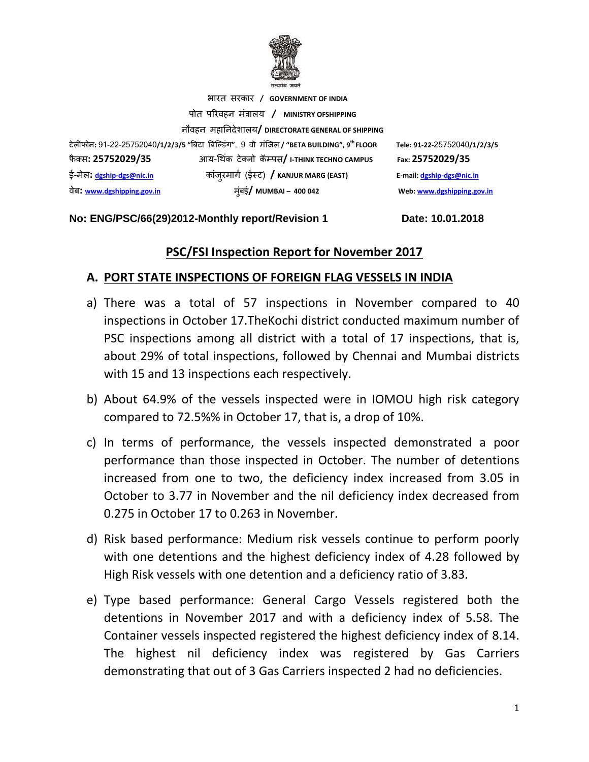

भारत सरकार **/ GOVERNMENT OF INDIA** पोत पररवहन मंत्रालय **/ MINISTRY OFSHIPPING** नौवहन महाननदेशालय**/ DIRECTORATE GENERAL OF SHIPPING** टेलीफोन**:** 91-22-25752040**/1/2/3/5 "**बिटा बिल्डंग**"**, 9 वी मंलिल **/ "BETA BUILDING", 9th FLOOR Tele: 91-22-**25752040**/1/2/3/5**  फै क् स**: 25752029/35** आय-थ कं टेक्नो क्पस**/ I-THINK TECHNO CAMPUS Fax: 25752029/35** ई-मेल**: [dgship-dgs@nic.in](mailto:dgship-dgs@nic.in)** कांिुरमागग (ईस्ट) **/ KANJUR MARG (EAST) E-mail[: dgship-dgs@nic.in](mailto:dgship-dgs@nic.in)** वेि**: [www.dgshipping.gov.in](http://www.dgshipping.gov.in/)** मुंिई**/ MUMBAI – 400 042 Web[: www.dgshipping.gov.in](http://www.dgshipping.gov.in/)**

#### **No: ENG/PSC/66(29)2012-Monthly report/Revision 1 Date: 10.01.2018**

# **PSC/FSI Inspection Report for November 2017**

# **A. PORT STATE INSPECTIONS OF FOREIGN FLAG VESSELS IN INDIA**

- a) There was a total of 57 inspections in November compared to 40 inspections in October 17.TheKochi district conducted maximum number of PSC inspections among all district with a total of 17 inspections, that is, about 29% of total inspections, followed by Chennai and Mumbai districts with 15 and 13 inspections each respectively.
- b) About 64.9% of the vessels inspected were in IOMOU high risk category compared to 72.5%% in October 17, that is, a drop of 10%.
- c) In terms of performance, the vessels inspected demonstrated a poor performance than those inspected in October. The number of detentions increased from one to two, the deficiency index increased from 3.05 in October to 3.77 in November and the nil deficiency index decreased from 0.275 in October 17 to 0.263 in November.
- d) Risk based performance: Medium risk vessels continue to perform poorly with one detentions and the highest deficiency index of 4.28 followed by High Risk vessels with one detention and a deficiency ratio of 3.83.
- e) Type based performance: General Cargo Vessels registered both the detentions in November 2017 and with a deficiency index of 5.58. The Container vessels inspected registered the highest deficiency index of 8.14. The highest nil deficiency index was registered by Gas Carriers demonstrating that out of 3 Gas Carriers inspected 2 had no deficiencies.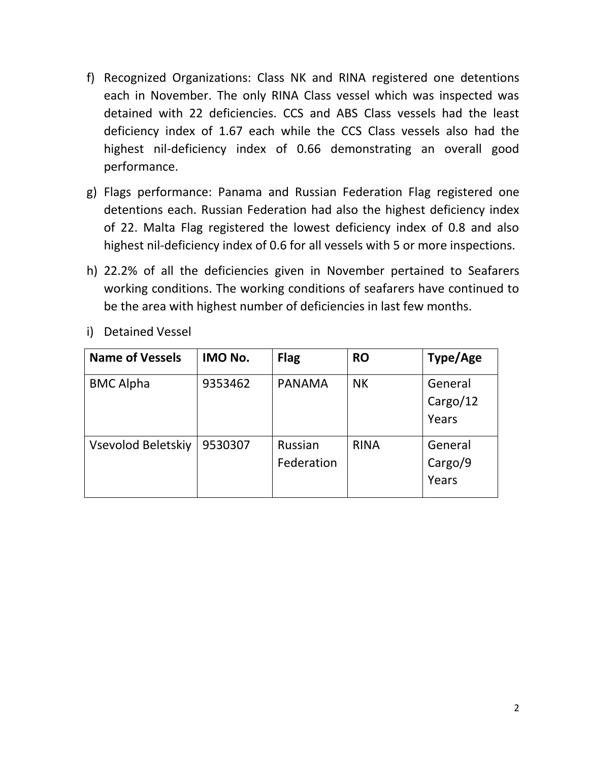- f) Recognized Organizations: Class NK and RINA registered one detentions each in November. The only RINA Class vessel which was inspected was detained with 22 deficiencies. CCS and ABS Class vessels had the least deficiency index of 1.67 each while the CCS Class vessels also had the highest nil-deficiency index of 0.66 demonstrating an overall good performance.
- g) Flags performance: Panama and Russian Federation Flag registered one detentions each. Russian Federation had also the highest deficiency index of 22. Malta Flag registered the lowest deficiency index of 0.8 and also highest nil-deficiency index of 0.6 for all vessels with 5 or more inspections.
- h) 22.2% of all the deficiencies given in November pertained to Seafarers working conditions. The working conditions of seafarers have continued to be the area with highest number of deficiencies in last few months.

| <b>Name of Vessels</b> | IMO No. | <b>Flag</b>                  | <b>RO</b>   | Type/Age                     |
|------------------------|---------|------------------------------|-------------|------------------------------|
| <b>BMC Alpha</b>       | 9353462 | <b>PANAMA</b>                | <b>NK</b>   | General<br>Cargo/12<br>Years |
| Vsevolod Beletskiy     | 9530307 | <b>Russian</b><br>Federation | <b>RINA</b> | General<br>Cargo/9<br>Years  |

i) Detained Vessel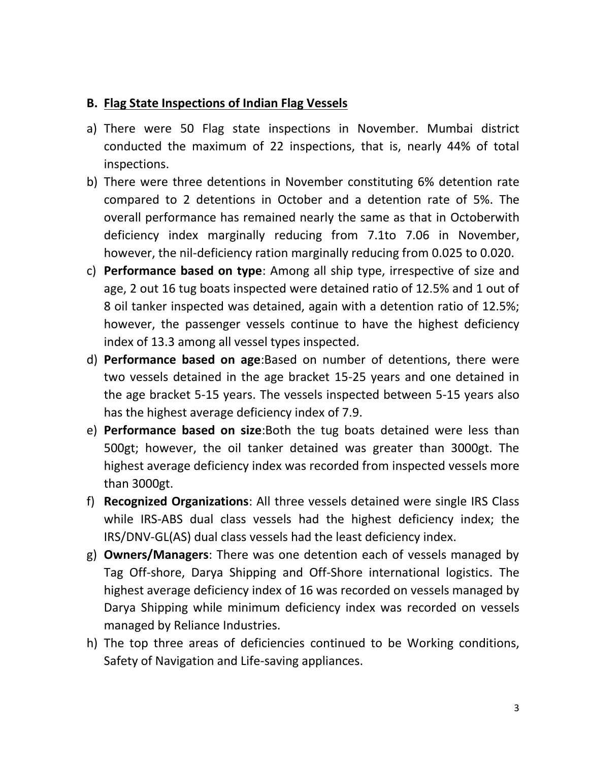### **B. Flag State Inspections of Indian Flag Vessels**

- a) There were 50 Flag state inspections in November. Mumbai district conducted the maximum of 22 inspections, that is, nearly 44% of total inspections.
- b) There were three detentions in November constituting 6% detention rate compared to 2 detentions in October and a detention rate of 5%. The overall performance has remained nearly the same as that in Octoberwith deficiency index marginally reducing from 7.1to 7.06 in November, however, the nil-deficiency ration marginally reducing from 0.025 to 0.020.
- c) **Performance based on type**: Among all ship type, irrespective of size and age, 2 out 16 tug boats inspected were detained ratio of 12.5% and 1 out of 8 oil tanker inspected was detained, again with a detention ratio of 12.5%; however, the passenger vessels continue to have the highest deficiency index of 13.3 among all vessel types inspected.
- d) **Performance based on age**:Based on number of detentions, there were two vessels detained in the age bracket 15-25 years and one detained in the age bracket 5-15 years. The vessels inspected between 5-15 years also has the highest average deficiency index of 7.9.
- e) **Performance based on size**:Both the tug boats detained were less than 500gt; however, the oil tanker detained was greater than 3000gt. The highest average deficiency index was recorded from inspected vessels more than 3000gt.
- f) **Recognized Organizations**: All three vessels detained were single IRS Class while IRS-ABS dual class vessels had the highest deficiency index; the IRS/DNV-GL(AS) dual class vessels had the least deficiency index.
- g) **Owners/Managers**: There was one detention each of vessels managed by Tag Off-shore, Darya Shipping and Off-Shore international logistics. The highest average deficiency index of 16 was recorded on vessels managed by Darya Shipping while minimum deficiency index was recorded on vessels managed by Reliance Industries.
- h) The top three areas of deficiencies continued to be Working conditions, Safety of Navigation and Life-saving appliances.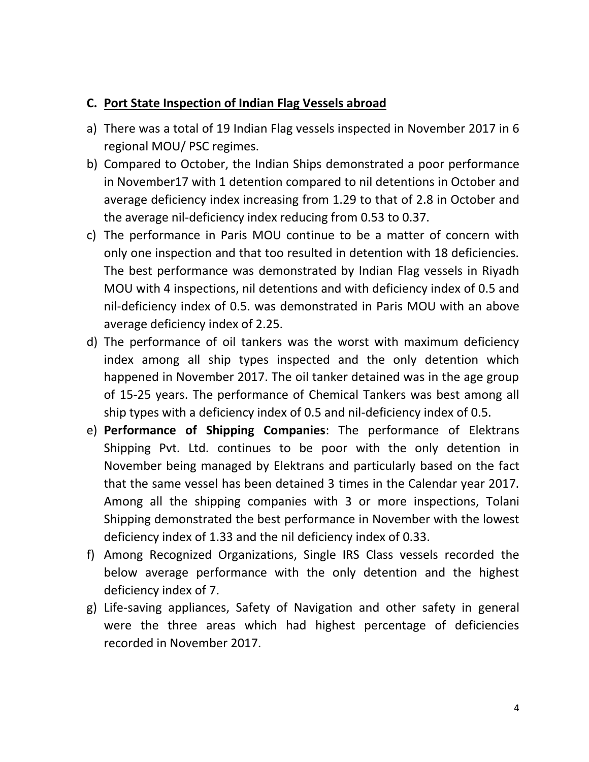# **C. Port State Inspection of Indian Flag Vessels abroad**

- a) There was a total of 19 Indian Flag vessels inspected in November 2017 in 6 regional MOU/ PSC regimes.
- b) Compared to October, the Indian Ships demonstrated a poor performance in November17 with 1 detention compared to nil detentions in October and average deficiency index increasing from 1.29 to that of 2.8 in October and the average nil-deficiency index reducing from 0.53 to 0.37.
- c) The performance in Paris MOU continue to be a matter of concern with only one inspection and that too resulted in detention with 18 deficiencies. The best performance was demonstrated by Indian Flag vessels in Riyadh MOU with 4 inspections, nil detentions and with deficiency index of 0.5 and nil-deficiency index of 0.5. was demonstrated in Paris MOU with an above average deficiency index of 2.25.
- d) The performance of oil tankers was the worst with maximum deficiency index among all ship types inspected and the only detention which happened in November 2017. The oil tanker detained was in the age group of 15-25 years. The performance of Chemical Tankers was best among all ship types with a deficiency index of 0.5 and nil-deficiency index of 0.5.
- e) **Performance of Shipping Companies**: The performance of Elektrans Shipping Pvt. Ltd. continues to be poor with the only detention in November being managed by Elektrans and particularly based on the fact that the same vessel has been detained 3 times in the Calendar year 2017. Among all the shipping companies with 3 or more inspections, Tolani Shipping demonstrated the best performance in November with the lowest deficiency index of 1.33 and the nil deficiency index of 0.33.
- f) Among Recognized Organizations, Single IRS Class vessels recorded the below average performance with the only detention and the highest deficiency index of 7.
- g) Life-saving appliances, Safety of Navigation and other safety in general were the three areas which had highest percentage of deficiencies recorded in November 2017.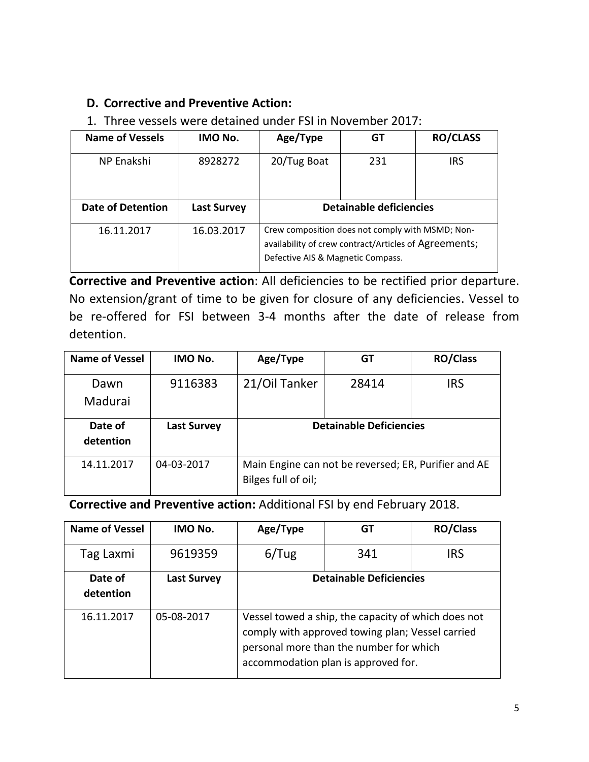# **D. Corrective and Preventive Action:**

1. Three vessels were detained under FSI in November 2017:

| <b>Name of Vessels</b> | IMO No.            | Age/Type                                                                                                                                       | GT  | <b>RO/CLASS</b> |
|------------------------|--------------------|------------------------------------------------------------------------------------------------------------------------------------------------|-----|-----------------|
| NP Enakshi             | 8928272            | 20/Tug Boat                                                                                                                                    | 231 | <b>IRS</b>      |
| Date of Detention      | <b>Last Survey</b> | <b>Detainable deficiencies</b>                                                                                                                 |     |                 |
| 16.11.2017             | 16.03.2017         | Crew composition does not comply with MSMD; Non-<br>availability of crew contract/Articles of Agreements;<br>Defective AIS & Magnetic Compass. |     |                 |

**Corrective and Preventive action**: All deficiencies to be rectified prior departure. No extension/grant of time to be given for closure of any deficiencies. Vessel to be re-offered for FSI between 3-4 months after the date of release from detention.

| <b>Name of Vessel</b> | IMO No.            | Age/Type                       | GT    | <b>RO/Class</b> |
|-----------------------|--------------------|--------------------------------|-------|-----------------|
| Dawn<br>Madurai       | 9116383            | 21/Oil Tanker                  | 28414 | <b>IRS</b>      |
| Date of               | <b>Last Survey</b> | <b>Detainable Deficiencies</b> |       |                 |
| detention             |                    |                                |       |                 |

**Corrective and Preventive action:** Additional FSI by end February 2018.

| <b>Name of Vessel</b> | IMO No.            | Age/Type                                                                                                                                                                                  | GT  | <b>RO/Class</b> |
|-----------------------|--------------------|-------------------------------------------------------------------------------------------------------------------------------------------------------------------------------------------|-----|-----------------|
| Tag Laxmi             | 9619359            | 6/Tug                                                                                                                                                                                     | 341 | <b>IRS</b>      |
| Date of<br>detention  | <b>Last Survey</b> | <b>Detainable Deficiencies</b>                                                                                                                                                            |     |                 |
| 16.11.2017            | 05-08-2017         | Vessel towed a ship, the capacity of which does not<br>comply with approved towing plan; Vessel carried<br>personal more than the number for which<br>accommodation plan is approved for. |     |                 |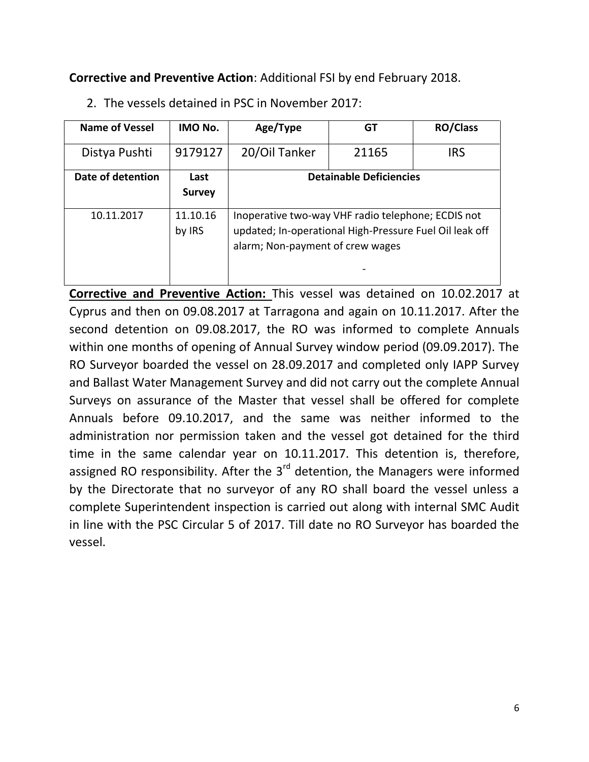**Corrective and Preventive Action**: Additional FSI by end February 2018.

| <b>Name of Vessel</b> | IMO No.            | Age/Type                                                                                                                                          | GT                             | <b>RO/Class</b> |
|-----------------------|--------------------|---------------------------------------------------------------------------------------------------------------------------------------------------|--------------------------------|-----------------|
| Distya Pushti         | 9179127            | 20/Oil Tanker                                                                                                                                     | 21165                          | <b>IRS</b>      |
| Date of detention     | Last               |                                                                                                                                                   | <b>Detainable Deficiencies</b> |                 |
|                       | <b>Survey</b>      |                                                                                                                                                   |                                |                 |
| 10.11.2017            | 11.10.16<br>by IRS | Inoperative two-way VHF radio telephone; ECDIS not<br>updated; In-operational High-Pressure Fuel Oil leak off<br>alarm; Non-payment of crew wages |                                |                 |

2. The vessels detained in PSC in November 2017:

**Corrective and Preventive Action:** This vessel was detained on 10.02.2017 at Cyprus and then on 09.08.2017 at Tarragona and again on 10.11.2017. After the second detention on 09.08.2017, the RO was informed to complete Annuals within one months of opening of Annual Survey window period (09.09.2017). The RO Surveyor boarded the vessel on 28.09.2017 and completed only IAPP Survey and Ballast Water Management Survey and did not carry out the complete Annual Surveys on assurance of the Master that vessel shall be offered for complete Annuals before 09.10.2017, and the same was neither informed to the administration nor permission taken and the vessel got detained for the third time in the same calendar year on 10.11.2017. This detention is, therefore, assigned RO responsibility. After the  $3<sup>rd</sup>$  detention, the Managers were informed by the Directorate that no surveyor of any RO shall board the vessel unless a complete Superintendent inspection is carried out along with internal SMC Audit in line with the PSC Circular 5 of 2017. Till date no RO Surveyor has boarded the vessel.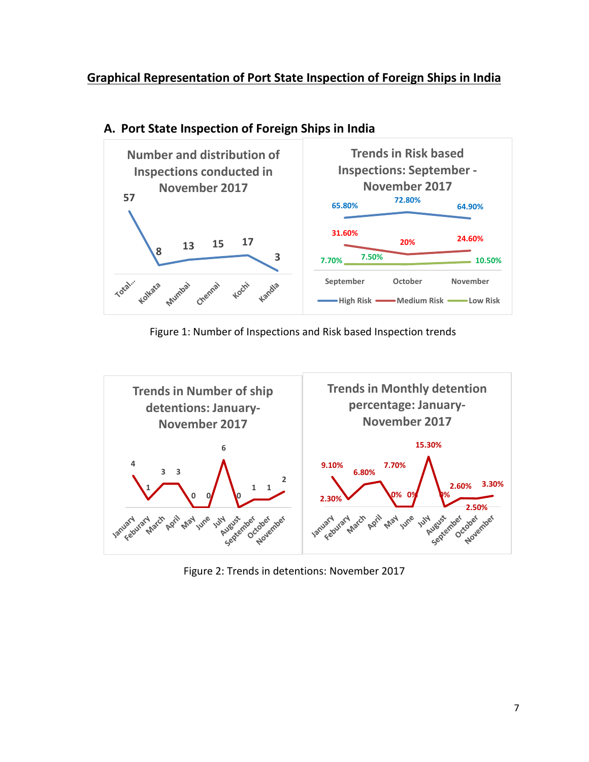# **Graphical Representation of Port State Inspection of Foreign Ships in India**



#### **A. Port State Inspection of Foreign Ships in India**

Figure 1: Number of Inspections and Risk based Inspection trends



Figure 2: Trends in detentions: November 2017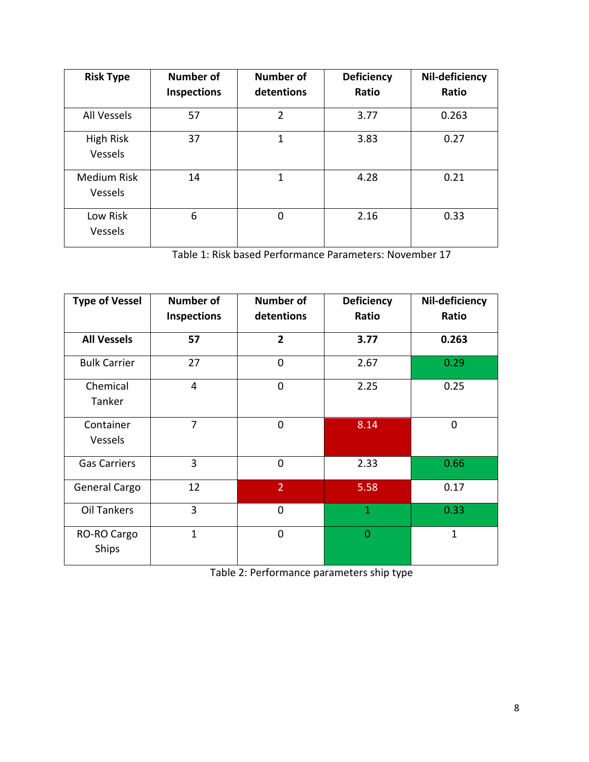| <b>Risk Type</b>              | <b>Number of</b>   | <b>Number of</b> | <b>Deficiency</b> | Nil-deficiency |
|-------------------------------|--------------------|------------------|-------------------|----------------|
|                               | <b>Inspections</b> | detentions       | Ratio             | Ratio          |
| <b>All Vessels</b>            | 57                 | 2                | 3.77              | 0.263          |
| High Risk<br><b>Vessels</b>   | 37                 | 1                | 3.83              | 0.27           |
| Medium Risk<br><b>Vessels</b> | 14                 | 1                | 4.28              | 0.21           |
| Low Risk<br>Vessels           | 6                  | $\Omega$         | 2.16              | 0.33           |

Table 1: Risk based Performance Parameters: November 17

| <b>Type of Vessel</b>       | <b>Number of</b><br><b>Inspections</b> | <b>Number of</b><br>detentions | <b>Deficiency</b><br>Ratio | Nil-deficiency<br>Ratio |
|-----------------------------|----------------------------------------|--------------------------------|----------------------------|-------------------------|
| <b>All Vessels</b>          | 57                                     | $\overline{2}$                 | 3.77                       | 0.263                   |
| <b>Bulk Carrier</b>         | 27                                     | $\overline{0}$                 | 2.67                       | 0.29                    |
| Chemical<br>Tanker          | $\overline{4}$                         | $\overline{0}$                 | 2.25                       | 0.25                    |
| Container<br>Vessels        | 7                                      | 0                              | 8.14                       | 0                       |
| <b>Gas Carriers</b>         | 3                                      | $\overline{0}$                 | 2.33                       | 0.66                    |
| General Cargo               | 12                                     | $\overline{2}$                 | 5.58                       | 0.17                    |
| Oil Tankers                 | 3                                      | $\overline{0}$                 | $\mathbf{1}$               | 0.33                    |
| RO-RO Cargo<br><b>Ships</b> | $\overline{1}$                         | $\Omega$                       | $\overline{0}$             | $\mathbf{1}$            |

Table 2: Performance parameters ship type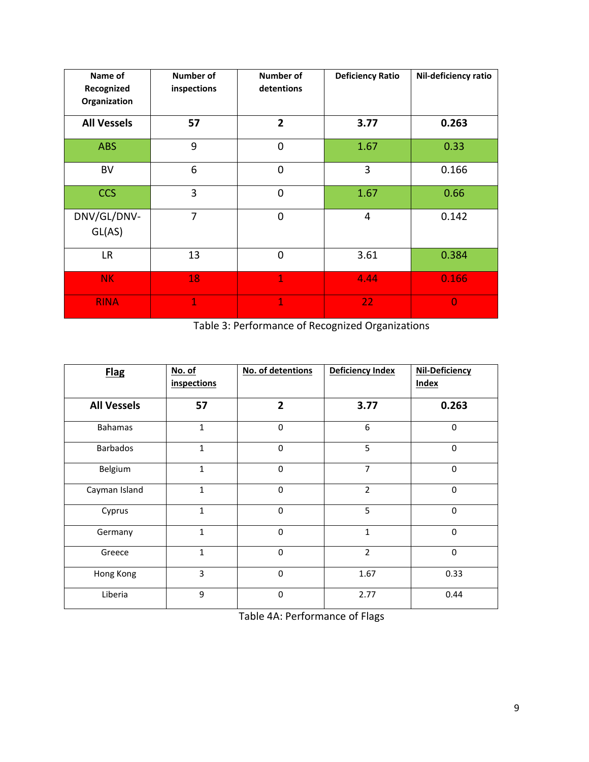| Name of<br>Recognized<br>Organization | <b>Number of</b><br>inspections | Number of<br>detentions | <b>Deficiency Ratio</b> | Nil-deficiency ratio |
|---------------------------------------|---------------------------------|-------------------------|-------------------------|----------------------|
| <b>All Vessels</b>                    | 57                              | $\overline{2}$          | 3.77                    | 0.263                |
| <b>ABS</b>                            | 9                               | $\mathbf 0$             | 1.67                    | 0.33                 |
| BV                                    | 6                               | $\overline{0}$          | 3                       | 0.166                |
| <b>CCS</b>                            | 3                               | $\overline{0}$          | 1.67                    | 0.66                 |
| DNV/GL/DNV-<br>GL(AS)                 | $\overline{7}$                  | $\overline{0}$          | $\overline{4}$          | 0.142                |
| <b>LR</b>                             | 13                              | $\overline{0}$          | 3.61                    | 0.384                |
| <b>NK</b>                             | 18                              | $\mathbf{1}$            | 4.44                    | 0.166                |
| <b>RINA</b>                           | 1                               | $\overline{1}$          | 22                      | $\Omega$             |

Table 3: Performance of Recognized Organizations

| <b>Flag</b>        | No. of<br><i>inspections</i> | No. of detentions | Deficiency Index | <b>Nil-Deficiency</b><br><b>Index</b> |
|--------------------|------------------------------|-------------------|------------------|---------------------------------------|
| <b>All Vessels</b> | 57                           | $\overline{2}$    | 3.77             | 0.263                                 |
| <b>Bahamas</b>     | $\mathbf{1}$                 | $\Omega$          | 6                | $\mathbf 0$                           |
| <b>Barbados</b>    | $\mathbf{1}$                 | $\mathbf 0$       | 5                | $\mathbf 0$                           |
| Belgium            | $\mathbf{1}$                 | $\Omega$          | $\overline{7}$   | $\mathbf 0$                           |
| Cayman Island      | $\mathbf{1}$                 | $\mathbf{0}$      | $\overline{2}$   | 0                                     |
| Cyprus             | 1                            | $\mathbf 0$       | 5                | $\mathbf 0$                           |
| Germany            | $\mathbf{1}$                 | $\mathbf 0$       | $\mathbf{1}$     | 0                                     |
| Greece             | 1                            | $\Omega$          | $\overline{2}$   | $\mathbf 0$                           |
| Hong Kong          | 3                            | $\Omega$          | 1.67             | 0.33                                  |
| Liberia            | 9                            | $\mathbf{0}$      | 2.77             | 0.44                                  |

Table 4A: Performance of Flags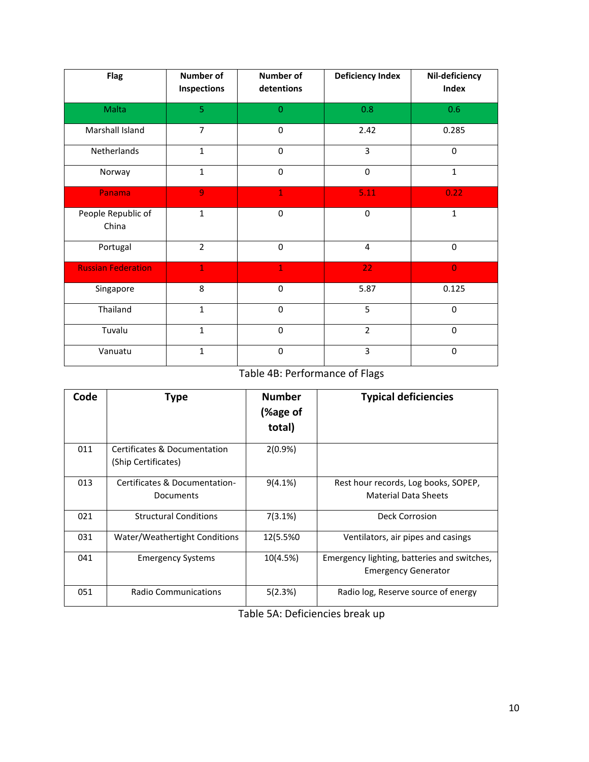| <b>Flag</b>                 | <b>Number of</b><br><b>Inspections</b> | <b>Number of</b><br>detentions | <b>Deficiency Index</b> | Nil-deficiency<br>Index |
|-----------------------------|----------------------------------------|--------------------------------|-------------------------|-------------------------|
| Malta                       | 5                                      | $\overline{0}$                 | 0.8                     | 0.6                     |
| Marshall Island             | $\overline{7}$                         | $\mathbf 0$                    | 2.42                    | 0.285                   |
| Netherlands                 | $\mathbf{1}$                           | $\mathbf 0$                    | 3                       | $\mathbf 0$             |
| Norway                      | $\mathbf{1}$                           | $\Omega$                       | $\mathbf 0$             | $\mathbf{1}$            |
| Panama                      | 9                                      | $\mathbf{1}$                   | $5.\overline{11}$       | 0.22                    |
| People Republic of<br>China | $\mathbf{1}$                           | $\mathbf 0$                    | $\mathbf 0$             | $\mathbf{1}$            |
| Portugal                    | $\overline{2}$                         | $\mathbf 0$                    | $\overline{\mathbf{4}}$ | 0                       |
| <b>Russian Federation</b>   | $\mathbf{1}$                           | $\overline{1}$                 | 22                      | $\overline{0}$          |
| Singapore                   | 8                                      | $\mathbf 0$                    | 5.87                    | 0.125                   |
| Thailand                    | $\mathbf{1}$                           | $\Omega$                       | 5                       | 0                       |
| Tuvalu                      | $\mathbf{1}$                           | $\mathbf 0$                    | $\overline{2}$          | $\mathbf 0$             |
| Vanuatu                     | $\mathbf{1}$                           | $\mathbf 0$                    | 3                       | 0                       |

Table 4B: Performance of Flags

| Code | <b>Type</b>                                         | <b>Number</b><br>(%age of<br>total) | <b>Typical deficiencies</b>                                               |
|------|-----------------------------------------------------|-------------------------------------|---------------------------------------------------------------------------|
| 011  | Certificates & Documentation<br>(Ship Certificates) | 2(0.9%)                             |                                                                           |
| 013  | Certificates & Documentation-<br>Documents          | $9(4.1\%)$                          | Rest hour records, Log books, SOPEP,<br><b>Material Data Sheets</b>       |
| 021  | <b>Structural Conditions</b>                        | 7(3.1%)                             | Deck Corrosion                                                            |
| 031  | Water/Weathertight Conditions                       | 12(5.5%0                            | Ventilators, air pipes and casings                                        |
| 041  | <b>Emergency Systems</b>                            | 10(4.5%)                            | Emergency lighting, batteries and switches,<br><b>Emergency Generator</b> |
| 051  | Radio Communications                                | 5(2.3%)                             | Radio log, Reserve source of energy                                       |

Table 5A: Deficiencies break up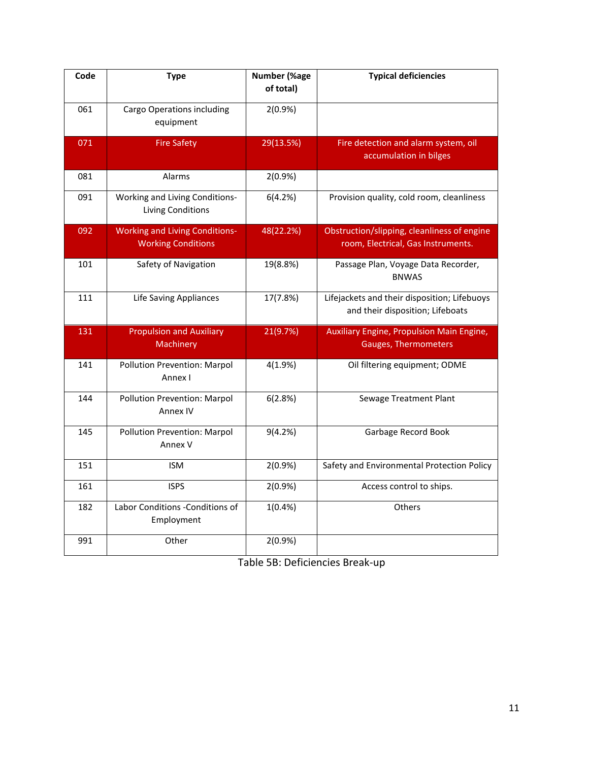| Code | <b>Type</b>                                                        | <b>Number (%age</b><br>of total) | <b>Typical deficiencies</b>                                                       |
|------|--------------------------------------------------------------------|----------------------------------|-----------------------------------------------------------------------------------|
| 061  | <b>Cargo Operations including</b><br>equipment                     | $2(0.9\%)$                       |                                                                                   |
| 071  | <b>Fire Safety</b>                                                 | 29(13.5%)                        | Fire detection and alarm system, oil<br>accumulation in bilges                    |
| 081  | Alarms                                                             | 2(0.9%                           |                                                                                   |
| 091  | Working and Living Conditions-<br><b>Living Conditions</b>         | 6(4.2%)                          | Provision quality, cold room, cleanliness                                         |
| 092  | <b>Working and Living Conditions-</b><br><b>Working Conditions</b> | 48(22.2%)                        | Obstruction/slipping, cleanliness of engine<br>room, Electrical, Gas Instruments. |
| 101  | Safety of Navigation                                               | 19(8.8%)                         | Passage Plan, Voyage Data Recorder,<br><b>BNWAS</b>                               |
| 111  | <b>Life Saving Appliances</b>                                      | 17(7.8%)                         | Lifejackets and their disposition; Lifebuoys<br>and their disposition; Lifeboats  |
| 131  | <b>Propulsion and Auxiliary</b><br>Machinery                       | 21(9.7%)                         | Auxiliary Engine, Propulsion Main Engine,<br><b>Gauges, Thermometers</b>          |
| 141  | Pollution Prevention: Marpol<br>Annex I                            | 4(1.9%)                          | Oil filtering equipment; ODME                                                     |
| 144  | Pollution Prevention: Marpol<br>Annex IV                           | 6(2.8%)                          | Sewage Treatment Plant                                                            |
| 145  | Pollution Prevention: Marpol<br>Annex V                            | 9(4.2%)                          | Garbage Record Book                                                               |
| 151  | <b>ISM</b>                                                         | 2(0.9%)                          | Safety and Environmental Protection Policy                                        |
| 161  | <b>ISPS</b>                                                        | $2(0.9\%)$                       | Access control to ships.                                                          |
| 182  | Labor Conditions - Conditions of<br>Employment                     | $1(0.4\%)$                       | Others                                                                            |
| 991  | Other                                                              | $2(0.9\%)$                       |                                                                                   |

Table 5B: Deficiencies Break-up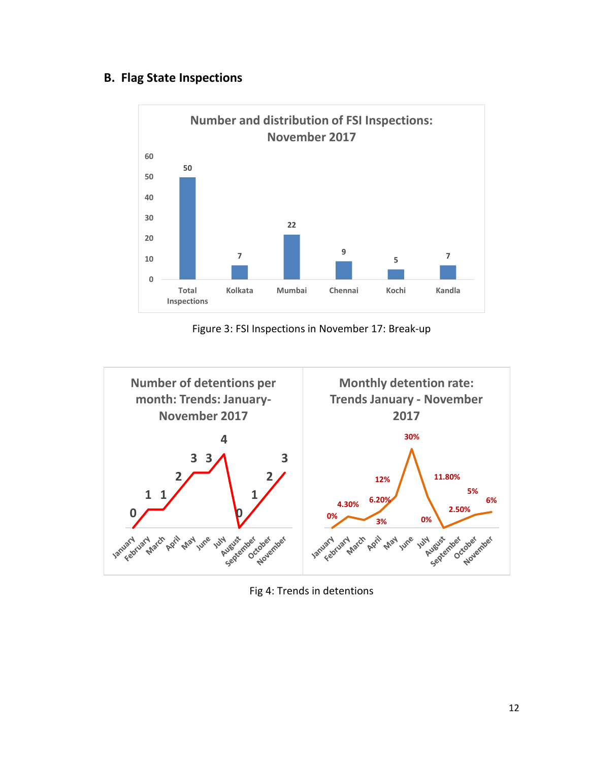#### **B. Flag State Inspections**



Figure 3: FSI Inspections in November 17: Break-up



Fig 4: Trends in detentions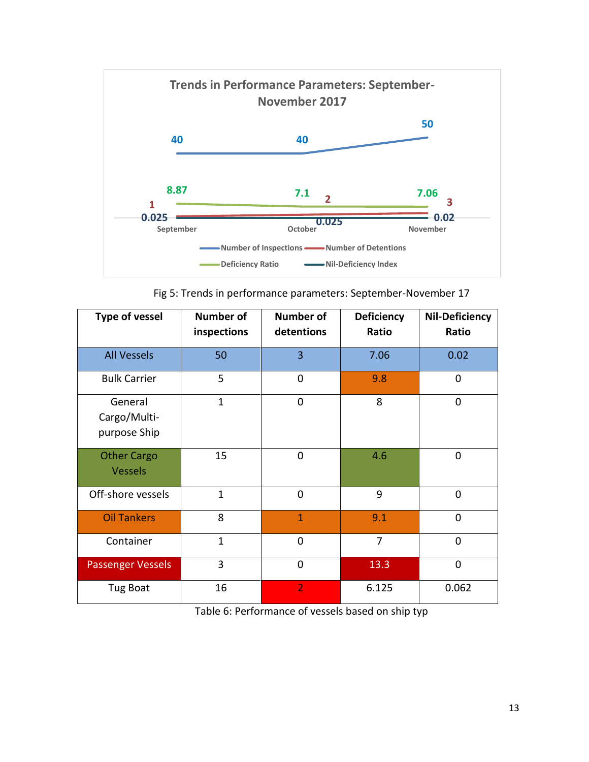

Fig 5: Trends in performance parameters: September-November 17

| <b>Type of vessel</b>                   | <b>Number of</b><br>inspections | <b>Number of</b><br>detentions | Deficiency<br>Ratio | <b>Nil-Deficiency</b><br>Ratio |
|-----------------------------------------|---------------------------------|--------------------------------|---------------------|--------------------------------|
| <b>All Vessels</b>                      | 50                              | $\overline{3}$                 | 7.06                | 0.02                           |
| <b>Bulk Carrier</b>                     | 5                               | 0                              | 9.8                 | 0                              |
| General<br>Cargo/Multi-<br>purpose Ship | $\mathbf{1}$                    | 0                              | 8                   | 0                              |
| <b>Other Cargo</b><br><b>Vessels</b>    | 15                              | 0                              | 4.6                 | 0                              |
| Off-shore vessels                       | $\mathbf{1}$                    | $\Omega$                       | 9                   | 0                              |
| <b>Oil Tankers</b>                      | 8                               | $\mathbf{1}$                   | 9.1                 | 0                              |
| Container                               | $\mathbf{1}$                    | 0                              | 7                   | $\overline{0}$                 |
| <b>Passenger Vessels</b>                | 3                               | 0                              | 13.3                | $\overline{0}$                 |
| Tug Boat                                | 16                              | $\overline{2}$                 | 6.125               | 0.062                          |

Table 6: Performance of vessels based on ship typ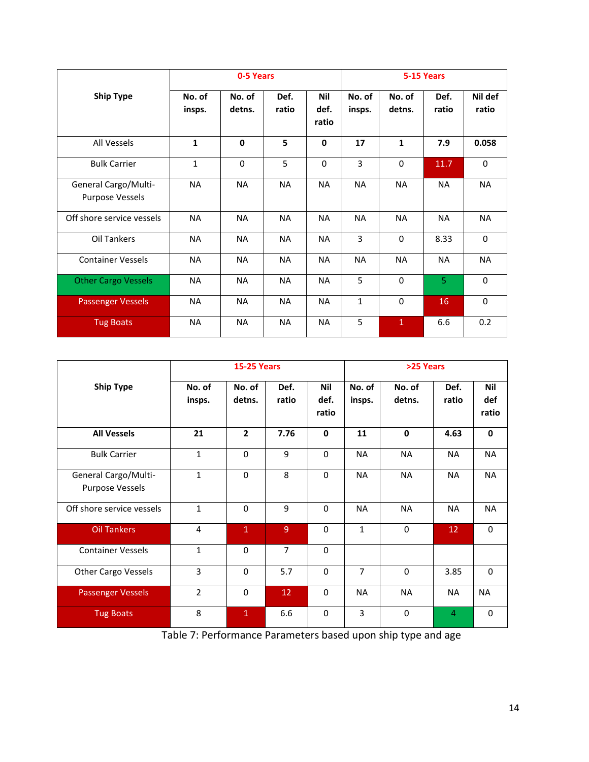|                                                | 0-5 Years        |                  |               |                      | 5-15 Years       |                  |                |                  |
|------------------------------------------------|------------------|------------------|---------------|----------------------|------------------|------------------|----------------|------------------|
| <b>Ship Type</b>                               | No. of<br>insps. | No. of<br>detns. | Def.<br>ratio | Nil<br>def.<br>ratio | No. of<br>insps. | No. of<br>detns. | Def.<br>ratio  | Nil def<br>ratio |
| All Vessels                                    | $\mathbf{1}$     | $\mathbf{0}$     | 5             | $\mathbf 0$          | 17               | $\mathbf{1}$     | 7.9            | 0.058            |
| <b>Bulk Carrier</b>                            | $\mathbf{1}$     | $\Omega$         | 5             | $\mathbf 0$          | 3                | $\Omega$         | 11.7           | $\Omega$         |
| General Cargo/Multi-<br><b>Purpose Vessels</b> | <b>NA</b>        | <b>NA</b>        | <b>NA</b>     | <b>NA</b>            | <b>NA</b>        | <b>NA</b>        | <b>NA</b>      | <b>NA</b>        |
| Off shore service vessels                      | <b>NA</b>        | <b>NA</b>        | <b>NA</b>     | <b>NA</b>            | <b>NA</b>        | <b>NA</b>        | <b>NA</b>      | <b>NA</b>        |
| Oil Tankers                                    | <b>NA</b>        | <b>NA</b>        | <b>NA</b>     | <b>NA</b>            | 3                | 0                | 8.33           | $\mathbf 0$      |
| <b>Container Vessels</b>                       | <b>NA</b>        | <b>NA</b>        | <b>NA</b>     | <b>NA</b>            | <b>NA</b>        | <b>NA</b>        | <b>NA</b>      | NA               |
| <b>Other Cargo Vessels</b>                     | <b>NA</b>        | <b>NA</b>        | <b>NA</b>     | <b>NA</b>            | 5                | $\Omega$         | $\overline{5}$ | $\Omega$         |
| <b>Passenger Vessels</b>                       | <b>NA</b>        | <b>NA</b>        | <b>NA</b>     | <b>NA</b>            | $\mathbf{1}$     | $\Omega$         | 16             | $\Omega$         |
| <b>Tug Boats</b>                               | <b>NA</b>        | <b>NA</b>        | <b>NA</b>     | <b>NA</b>            | 5                | $\mathbf{1}$     | 6.6            | 0.2              |

|                                                | <b>15-25 Years</b> |                  |                |                             | >25 Years        |                  |                |                            |
|------------------------------------------------|--------------------|------------------|----------------|-----------------------------|------------------|------------------|----------------|----------------------------|
| <b>Ship Type</b>                               | No. of<br>insps.   | No. of<br>detns. | Def.<br>ratio  | <b>Nil</b><br>def.<br>ratio | No. of<br>insps. | No. of<br>detns. | Def.<br>ratio  | <b>Nil</b><br>def<br>ratio |
| <b>All Vessels</b>                             | 21                 | $\overline{2}$   | 7.76           | $\mathbf{0}$                | 11               | $\mathbf{0}$     | 4.63           | $\mathbf{0}$               |
| <b>Bulk Carrier</b>                            | $\mathbf{1}$       | $\Omega$         | 9              | $\Omega$                    | <b>NA</b>        | <b>NA</b>        | <b>NA</b>      | <b>NA</b>                  |
| General Cargo/Multi-<br><b>Purpose Vessels</b> | $\mathbf{1}$       | $\mathbf{0}$     | 8              | $\Omega$                    | <b>NA</b>        | <b>NA</b>        | <b>NA</b>      | NA                         |
| Off shore service vessels                      | $\mathbf{1}$       | $\Omega$         | 9              | $\Omega$                    | <b>NA</b>        | <b>NA</b>        | <b>NA</b>      | <b>NA</b>                  |
| <b>Oil Tankers</b>                             | 4                  | $\mathbf{1}$     | 9              | $\Omega$                    | $\mathbf{1}$     | $\Omega$         | 12             | $\mathbf 0$                |
| <b>Container Vessels</b>                       | $\mathbf{1}$       | $\Omega$         | $\overline{7}$ | $\Omega$                    |                  |                  |                |                            |
| <b>Other Cargo Vessels</b>                     | 3                  | $\Omega$         | 5.7            | $\Omega$                    | $\overline{7}$   | $\Omega$         | 3.85           | $\mathbf{0}$               |
| <b>Passenger Vessels</b>                       | $\overline{2}$     | $\Omega$         | 12             | $\Omega$                    | <b>NA</b>        | <b>NA</b>        | <b>NA</b>      | <b>NA</b>                  |
| <b>Tug Boats</b>                               | 8                  | $\mathbf{1}$     | 6.6            | $\mathbf 0$                 | 3                | $\mathbf 0$      | $\overline{4}$ | $\mathbf 0$                |

Table 7: Performance Parameters based upon ship type and age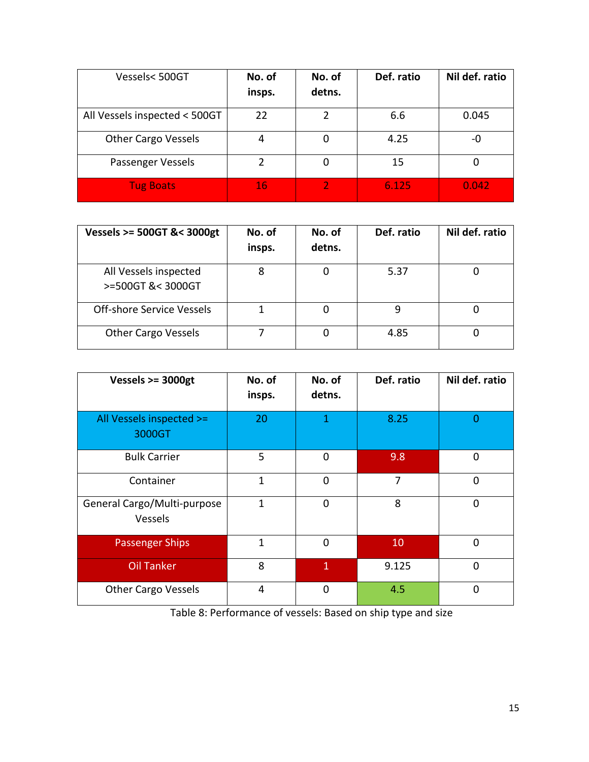| Vessels<500GT                 | No. of<br>insps. | No. of<br>detns. | Def. ratio | Nil def. ratio |
|-------------------------------|------------------|------------------|------------|----------------|
| All Vessels inspected < 500GT | 22               | 2                | 6.6        | 0.045          |
| <b>Other Cargo Vessels</b>    | 4                | 0                | 4.25       | -0             |
| Passenger Vessels             |                  | 0                | 15         |                |
| <b>Tug Boats</b>              | 16               |                  | 6.125      | 0.042          |

| Vessels >= 500GT &< 3000gt                 | No. of<br>insps. | No. of<br>detns. | Def. ratio | Nil def. ratio |
|--------------------------------------------|------------------|------------------|------------|----------------|
| All Vessels inspected<br>>=500GT &< 3000GT | 8                | 0                | 5.37       |                |
| Off-shore Service Vessels                  |                  | 0                |            |                |
| <b>Other Cargo Vessels</b>                 |                  | 0                | 4.85       |                |

| Vessels $>=$ 3000gt                           | No. of<br>insps. | No. of<br>detns. | Def. ratio | Nil def. ratio |
|-----------------------------------------------|------------------|------------------|------------|----------------|
| All Vessels inspected >=<br>3000GT            | 20               | $\mathbf{1}$     | 8.25       | 0              |
| <b>Bulk Carrier</b>                           | 5                | 0                | 9.8        | 0              |
| Container                                     | $\mathbf{1}$     | $\overline{0}$   | 7          | $\overline{0}$ |
| General Cargo/Multi-purpose<br><b>Vessels</b> | $\mathbf{1}$     | 0                | 8          | 0              |
| <b>Passenger Ships</b>                        | 1                | 0                | 10         | 0              |
| <b>Oil Tanker</b>                             | 8                | $\overline{1}$   | 9.125      | $\overline{0}$ |
| <b>Other Cargo Vessels</b>                    | 4                | 0                | 4.5        | $\Omega$       |

Table 8: Performance of vessels: Based on ship type and size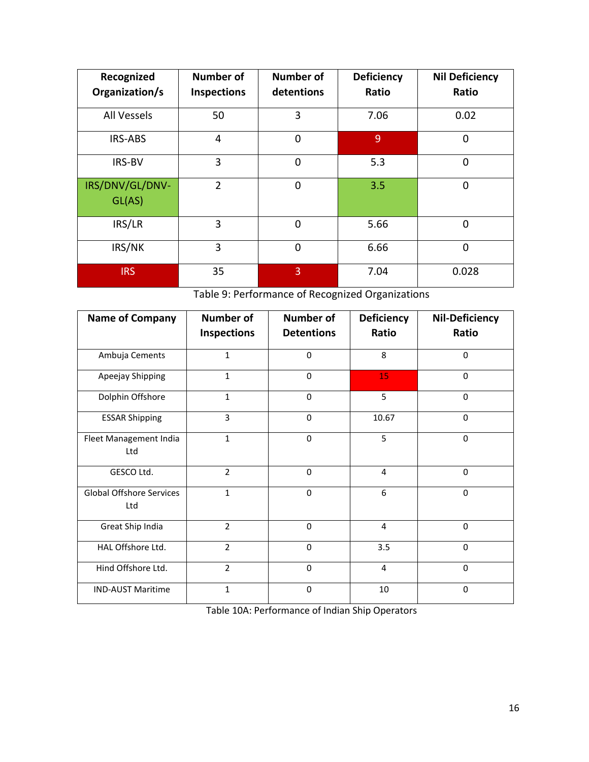| Recognized                | <b>Number of</b> | <b>Number of</b> | <b>Deficiency</b> | <b>Nil Deficiency</b> |
|---------------------------|------------------|------------------|-------------------|-----------------------|
| Organization/s            | Inspections      | detentions       | Ratio             | Ratio                 |
| <b>All Vessels</b>        | 50               | 3                | 7.06              | 0.02                  |
| <b>IRS-ABS</b>            | $\overline{4}$   | $\overline{0}$   | 9                 | $\overline{0}$        |
| IRS-BV                    | 3                | $\overline{0}$   | 5.3               | $\overline{0}$        |
| IRS/DNV/GL/DNV-<br>GL(AS) | $\overline{2}$   | $\Omega$         | 3.5               | $\overline{0}$        |
| IRS/LR                    | 3                | $\overline{0}$   | 5.66              | $\overline{0}$        |
| IRS/NK                    | 3                | $\mathbf 0$      | 6.66              | $\mathbf 0$           |
| <b>IRS</b>                | 35               | 3                | 7.04              | 0.028                 |

Table 9: Performance of Recognized Organizations

| <b>Name of Company</b>                 | <b>Number of</b>   | <b>Number of</b>  | <b>Deficiency</b> | <b>Nil-Deficiency</b> |
|----------------------------------------|--------------------|-------------------|-------------------|-----------------------|
|                                        | <b>Inspections</b> | <b>Detentions</b> | Ratio             | Ratio                 |
| Ambuja Cements                         | $\mathbf{1}$       | 0                 | 8                 | 0                     |
| Apeejay Shipping                       | $\mathbf{1}$       | 0                 | 15                | $\Omega$              |
| Dolphin Offshore                       | $\mathbf{1}$       | $\mathbf 0$       | 5                 | $\mathbf 0$           |
| <b>ESSAR Shipping</b>                  | 3                  | $\mathbf 0$       | 10.67             | $\mathbf 0$           |
| Fleet Management India<br>Ltd          | $\mathbf{1}$       | $\mathbf 0$       | 5                 | $\mathbf 0$           |
| GESCO Ltd.                             | $\overline{2}$     | $\mathbf 0$       | $\overline{4}$    | $\mathbf 0$           |
| <b>Global Offshore Services</b><br>Ltd | $\mathbf{1}$       | 0                 | 6                 | 0                     |
| Great Ship India                       | $\overline{2}$     | $\mathbf 0$       | 4                 | 0                     |
| HAL Offshore Ltd.                      | $\overline{2}$     | $\Omega$          | 3.5               | $\Omega$              |
| Hind Offshore Ltd.                     | $\overline{2}$     | $\Omega$          | 4                 | $\Omega$              |
| <b>IND-AUST Maritime</b>               | $\mathbf{1}$       | $\mathbf 0$       | 10                | $\mathbf 0$           |

Table 10A: Performance of Indian Ship Operators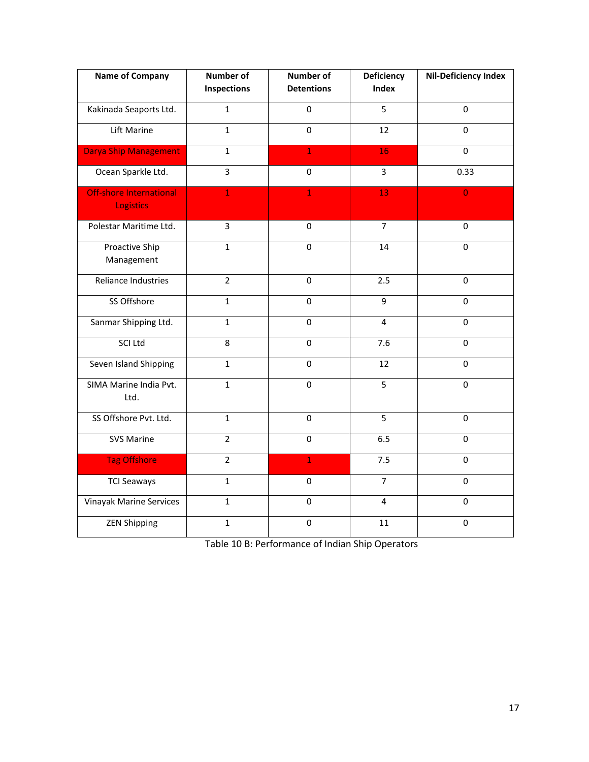| <b>Name of Company</b>                             | <b>Number of</b>   | <b>Number of</b>  | <b>Deficiency</b> | <b>Nil-Deficiency Index</b> |
|----------------------------------------------------|--------------------|-------------------|-------------------|-----------------------------|
|                                                    | <b>Inspections</b> | <b>Detentions</b> | Index             |                             |
| Kakinada Seaports Ltd.                             | $\mathbf{1}$       | $\mathbf 0$       | 5                 | $\mathbf 0$                 |
| Lift Marine                                        | $\mathbf{1}$       | $\mathbf 0$       | 12                | $\mathbf 0$                 |
| <b>Darya Ship Management</b>                       | $\mathbf{1}$       | $\mathbf{1}$      | 16                | $\mathbf 0$                 |
| Ocean Sparkle Ltd.                                 | $\overline{3}$     | $\mathbf 0$       | $\overline{3}$    | 0.33                        |
| <b>Off-shore International</b><br><b>Logistics</b> | $\overline{1}$     | $\mathbf{1}$      | 13                | $\overline{0}$              |
| Polestar Maritime Ltd.                             | $\overline{3}$     | $\mathbf 0$       | $\overline{7}$    | $\mathbf 0$                 |
| Proactive Ship<br>Management                       | $\mathbf{1}$       | $\mathbf 0$       | 14                | $\mathbf 0$                 |
| Reliance Industries                                | $\overline{2}$     | $\mathbf 0$       | 2.5               | $\mathbf 0$                 |
| SS Offshore                                        | $\mathbf{1}$       | $\mathbf 0$       | 9                 | $\pmb{0}$                   |
| Sanmar Shipping Ltd.                               | $\mathbf{1}$       | $\mathbf 0$       | $\overline{4}$    | $\mathbf 0$                 |
| SCI Ltd                                            | 8                  | $\mathbf 0$       | 7.6               | $\mathbf 0$                 |
| Seven Island Shipping                              | $\mathbf{1}$       | $\mathbf 0$       | 12                | $\mathbf 0$                 |
| SIMA Marine India Pvt.<br>Ltd.                     | $\mathbf{1}$       | $\mathbf 0$       | 5                 | $\mathbf 0$                 |
| SS Offshore Pvt. Ltd.                              | $\mathbf{1}$       | $\mathbf 0$       | 5                 | $\mathbf 0$                 |
| <b>SVS Marine</b>                                  | $\overline{2}$     | $\pmb{0}$         | 6.5               | $\pmb{0}$                   |
| <b>Tag Offshore</b>                                | $\overline{2}$     | $\mathbf{1}$      | 7.5               | $\Omega$                    |
| <b>TCI Seaways</b>                                 | $\mathbf{1}$       | $\mathbf 0$       | $\overline{7}$    | 0                           |
| <b>Vinayak Marine Services</b>                     | $\mathbf{1}$       | $\mathbf 0$       | $\overline{4}$    | $\pmb{0}$                   |
| <b>ZEN Shipping</b>                                | $\mathbf{1}$       | $\mathbf 0$       | 11                | $\mathbf 0$                 |

Table 10 B: Performance of Indian Ship Operators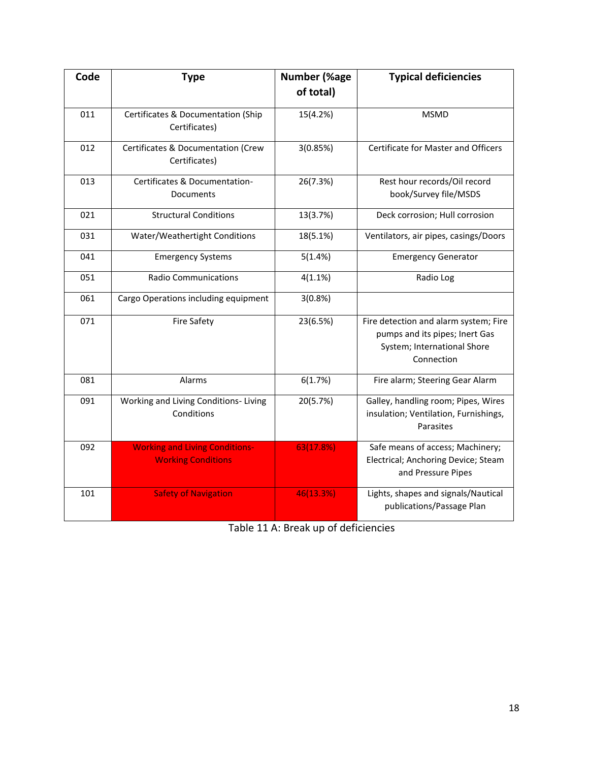| Code | <b>Type</b>                                                        | <b>Number (%age</b> | <b>Typical deficiencies</b>                                                                                          |
|------|--------------------------------------------------------------------|---------------------|----------------------------------------------------------------------------------------------------------------------|
|      |                                                                    | of total)           |                                                                                                                      |
| 011  | Certificates & Documentation (Ship<br>Certificates)                | 15(4.2%)            | <b>MSMD</b>                                                                                                          |
| 012  | Certificates & Documentation (Crew<br>Certificates)                | 3(0.85%)            | <b>Certificate for Master and Officers</b>                                                                           |
| 013  | Certificates & Documentation-<br>Documents                         | 26(7.3%)            | Rest hour records/Oil record<br>book/Survey file/MSDS                                                                |
| 021  | <b>Structural Conditions</b>                                       | 13(3.7%)            | Deck corrosion; Hull corrosion                                                                                       |
| 031  | Water/Weathertight Conditions                                      | 18(5.1%)            | Ventilators, air pipes, casings/Doors                                                                                |
| 041  | <b>Emergency Systems</b>                                           | 5(1.4%)             | <b>Emergency Generator</b>                                                                                           |
| 051  | <b>Radio Communications</b>                                        | 4(1.1%)             | Radio Log                                                                                                            |
| 061  | Cargo Operations including equipment                               | 3(0.8%)             |                                                                                                                      |
| 071  | <b>Fire Safety</b>                                                 | 23(6.5%)            | Fire detection and alarm system; Fire<br>pumps and its pipes; Inert Gas<br>System; International Shore<br>Connection |
| 081  | Alarms                                                             | 6(1.7%)             | Fire alarm; Steering Gear Alarm                                                                                      |
| 091  | Working and Living Conditions-Living<br>Conditions                 | 20(5.7%)            | Galley, handling room; Pipes, Wires<br>insulation; Ventilation, Furnishings,<br>Parasites                            |
| 092  | <b>Working and Living Conditions-</b><br><b>Working Conditions</b> | 63(17.8%)           | Safe means of access; Machinery;<br>Electrical; Anchoring Device; Steam<br>and Pressure Pipes                        |
| 101  | <b>Safety of Navigation</b>                                        | 46(13.3%)           | Lights, shapes and signals/Nautical<br>publications/Passage Plan                                                     |

Table 11 A: Break up of deficiencies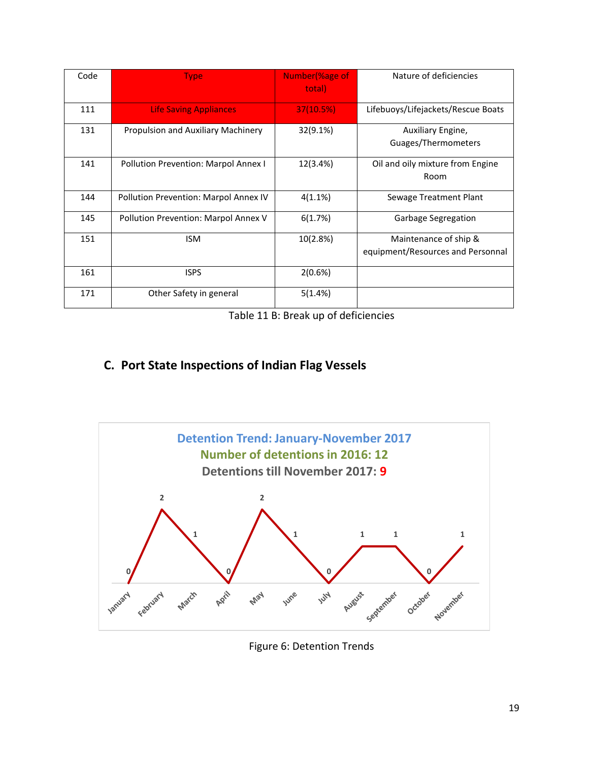| Code | <b>Type</b>                           | Number(%age of<br>total) | Nature of deficiencies                                     |
|------|---------------------------------------|--------------------------|------------------------------------------------------------|
| 111  | <b>Life Saving Appliances</b>         | 37(10.5%)                | Lifebuoys/Lifejackets/Rescue Boats                         |
| 131  | Propulsion and Auxiliary Machinery    | 32(9.1%)                 | Auxiliary Engine,<br>Guages/Thermometers                   |
| 141  | Pollution Prevention: Marpol Annex I  | 12(3.4%)                 | Oil and oily mixture from Engine<br>Room                   |
| 144  | Pollution Prevention: Marpol Annex IV | 4(1.1%)                  | Sewage Treatment Plant                                     |
| 145  | Pollution Prevention: Marpol Annex V  | 6(1.7%)                  | Garbage Segregation                                        |
| 151  | <b>ISM</b>                            | 10(2.8%)                 | Maintenance of ship &<br>equipment/Resources and Personnal |
| 161  | <b>ISPS</b>                           | 2(0.6%)                  |                                                            |
| 171  | Other Safety in general               | 5(1.4%)                  |                                                            |

Table 11 B: Break up of deficiencies

# **C. Port State Inspections of Indian Flag Vessels**



Figure 6: Detention Trends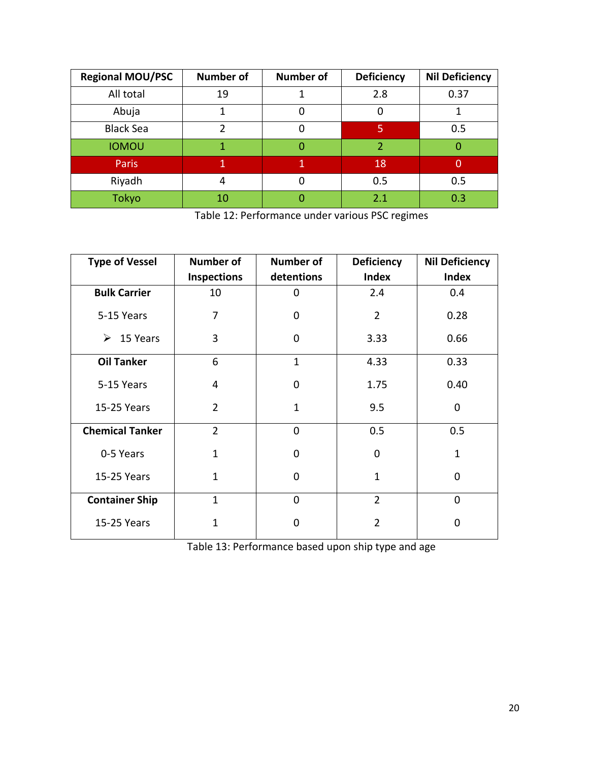| <b>Regional MOU/PSC</b> | <b>Number of</b> | <b>Number of</b> | <b>Deficiency</b> | <b>Nil Deficiency</b> |
|-------------------------|------------------|------------------|-------------------|-----------------------|
| All total               | 19               |                  | 2.8               | 0.37                  |
| Abuja                   |                  | 0                | 0                 |                       |
| <b>Black Sea</b>        |                  |                  | 5                 | 0.5                   |
| <b>IOMOU</b>            |                  | O                | $\mathcal{P}$     | O                     |
| <b>Paris</b>            | 1                | 1                | 18                | $\overline{0}$        |
| Riyadh                  | 4                | O                | 0.5               | 0.5                   |
| <b>Tokyo</b>            | 10               |                  | 2.1               | 0.3                   |

Table 12: Performance under various PSC regimes

| <b>Type of Vessel</b>                              | Number of          | <b>Number of</b> | <b>Deficiency</b> | <b>Nil Deficiency</b> |  |  |
|----------------------------------------------------|--------------------|------------------|-------------------|-----------------------|--|--|
|                                                    | <b>Inspections</b> | detentions       | <b>Index</b>      | <b>Index</b>          |  |  |
| <b>Bulk Carrier</b>                                | 10                 | $\mathbf 0$      | 2.4               | 0.4                   |  |  |
| 5-15 Years                                         | 7                  | $\mathbf 0$      | $\overline{2}$    | 0.28                  |  |  |
| $\triangleright$ 15 Years                          | 3                  | $\overline{0}$   | 3.33              | 0.66                  |  |  |
| <b>Oil Tanker</b>                                  | 6                  | $\mathbf{1}$     | 4.33              | 0.33                  |  |  |
| 5-15 Years                                         | $\overline{4}$     | $\mathbf 0$      | 1.75              | 0.40                  |  |  |
| 15-25 Years                                        | $\overline{2}$     | $\mathbf{1}$     | 9.5               | $\mathbf 0$           |  |  |
| <b>Chemical Tanker</b>                             | $\overline{2}$     | $\Omega$         | 0.5               | 0.5                   |  |  |
| 0-5 Years                                          | $\mathbf{1}$       | $\Omega$         | $\mathbf 0$       | $\mathbf{1}$          |  |  |
| 15-25 Years                                        | $\mathbf{1}$       | $\overline{0}$   | $\mathbf{1}$      | $\overline{0}$        |  |  |
| <b>Container Ship</b>                              | $\mathbf{1}$       | $\overline{0}$   | $\overline{2}$    | $\overline{0}$        |  |  |
| 15-25 Years                                        | $\mathbf{1}$       | $\overline{0}$   | $\overline{2}$    | $\mathbf 0$           |  |  |
| Table 13: Performance based upon ship type and age |                    |                  |                   |                       |  |  |

Table 13: Performance based upon ship type and age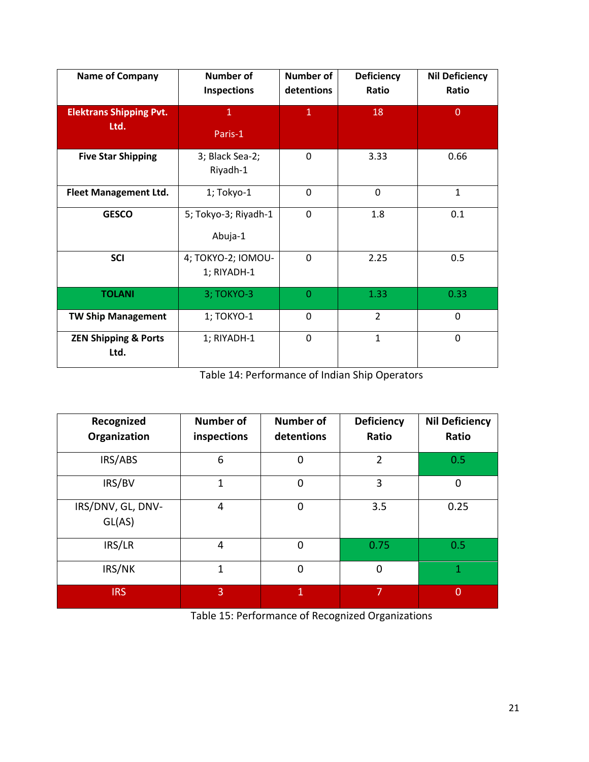| <b>Name of Company</b>                  | <b>Number of</b><br><b>Inspections</b> | Number of<br>detentions | <b>Deficiency</b><br>Ratio | <b>Nil Deficiency</b><br>Ratio |  |
|-----------------------------------------|----------------------------------------|-------------------------|----------------------------|--------------------------------|--|
| <b>Elektrans Shipping Pvt.</b><br>Ltd.  | $\mathbf{1}$<br>Paris-1                | $\mathbf{1}$            | 18                         | $\overline{0}$                 |  |
| <b>Five Star Shipping</b>               | 3; Black Sea-2;<br>Riyadh-1            | $\mathbf 0$             | 3.33                       | 0.66                           |  |
| <b>Fleet Management Ltd.</b>            | 1; Tokyo-1                             | $\overline{0}$          | $\mathbf 0$                | $\mathbf{1}$                   |  |
| <b>GESCO</b>                            | 5; Tokyo-3; Riyadh-1<br>Abuja-1        | $\overline{0}$          | 1.8                        | 0.1                            |  |
| <b>SCI</b>                              | 4; TOKYO-2; IOMOU-<br>1; RIYADH-1      | $\overline{0}$          | 2.25                       | 0.5                            |  |
| <b>TOLANI</b>                           | 3; TOKYO-3                             | $\overline{0}$          | 1.33                       | 0.33                           |  |
| <b>TW Ship Management</b>               | 1; TOKYO-1                             | 0                       | $\overline{2}$             | 0                              |  |
| <b>ZEN Shipping &amp; Ports</b><br>Ltd. | 1; RIYADH-1                            | $\mathbf 0$             | $\mathbf{1}$               | $\mathbf 0$                    |  |

Table 14: Performance of Indian Ship Operators

| Recognized<br>Organization  | <b>Number of</b><br>inspections | <b>Number of</b><br>detentions | <b>Deficiency</b><br>Ratio | <b>Nil Deficiency</b><br>Ratio |
|-----------------------------|---------------------------------|--------------------------------|----------------------------|--------------------------------|
| IRS/ABS                     | 6                               | 0                              | 2                          | 0.5                            |
| IRS/BV                      | $\mathbf{1}$                    | $\overline{0}$                 | 3                          | $\mathbf 0$                    |
| IRS/DNV, GL, DNV-<br>GL(AS) | 4                               | 0                              | 3.5                        | 0.25                           |
| IRS/LR                      | 4                               | $\overline{0}$                 | 0.75                       | 0.5                            |
| IRS/NK                      | 1                               | 0                              | $\mathbf 0$                | 1                              |
| <b>IRS</b>                  | 3                               | 1                              | 7                          | $\overline{0}$                 |

Table 15: Performance of Recognized Organizations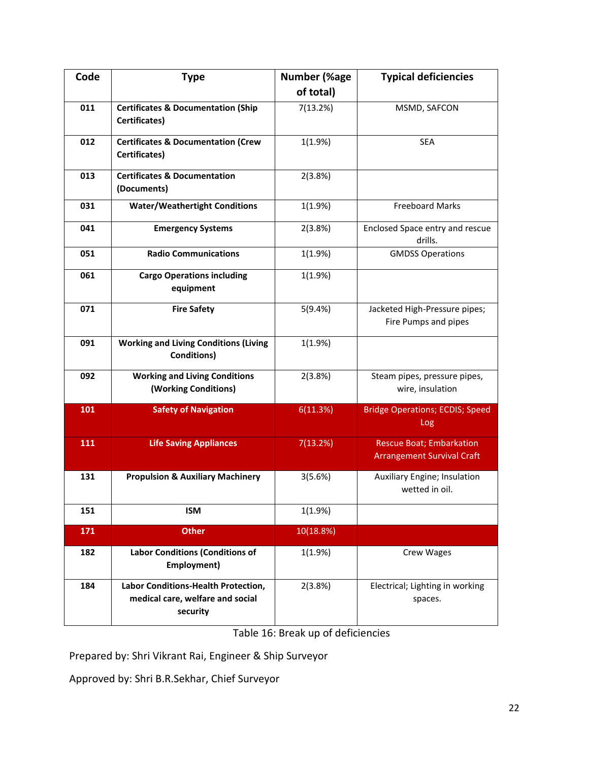| Code | <b>Type</b>                                                                         | <b>Number (%age</b> | <b>Typical deficiencies</b>                                          |
|------|-------------------------------------------------------------------------------------|---------------------|----------------------------------------------------------------------|
|      |                                                                                     | of total)           |                                                                      |
| 011  | <b>Certificates &amp; Documentation (Ship</b><br>Certificates)                      | 7(13.2%)            | MSMD, SAFCON                                                         |
| 012  | <b>Certificates &amp; Documentation (Crew</b><br>Certificates)                      | 1(1.9%)             | <b>SEA</b>                                                           |
| 013  | <b>Certificates &amp; Documentation</b><br>(Documents)                              | 2(3.8%)             |                                                                      |
| 031  | <b>Water/Weathertight Conditions</b>                                                | 1(1.9%)             | <b>Freeboard Marks</b>                                               |
| 041  | <b>Emergency Systems</b>                                                            | 2(3.8%)             | Enclosed Space entry and rescue<br>drills.                           |
| 051  | <b>Radio Communications</b>                                                         | 1(1.9%)             | <b>GMDSS Operations</b>                                              |
| 061  | <b>Cargo Operations including</b><br>equipment                                      | 1(1.9%)             |                                                                      |
| 071  | <b>Fire Safety</b>                                                                  | 5(9.4%)             | Jacketed High-Pressure pipes;<br>Fire Pumps and pipes                |
| 091  | <b>Working and Living Conditions (Living</b><br><b>Conditions)</b>                  | 1(1.9%)             |                                                                      |
| 092  | <b>Working and Living Conditions</b><br>(Working Conditions)                        | 2(3.8%)             | Steam pipes, pressure pipes,<br>wire, insulation                     |
| 101  | <b>Safety of Navigation</b>                                                         | 6(11.3%)            | <b>Bridge Operations; ECDIS; Speed</b><br>Log                        |
| 111  | <b>Life Saving Appliances</b>                                                       | 7(13.2%)            | <b>Rescue Boat; Embarkation</b><br><b>Arrangement Survival Craft</b> |
| 131  | <b>Propulsion &amp; Auxiliary Machinery</b>                                         | 3(5.6%)             | Auxiliary Engine; Insulation<br>wetted in oil.                       |
| 151  | <b>ISM</b>                                                                          | 1(1.9%)             |                                                                      |
| 171  | <b>Other</b>                                                                        | 10(18.8%)           |                                                                      |
| 182  | <b>Labor Conditions (Conditions of</b><br>Employment)                               | 1(1.9%)             | Crew Wages                                                           |
| 184  | Labor Conditions-Health Protection,<br>medical care, welfare and social<br>security | 2(3.8%)             | Electrical; Lighting in working<br>spaces.                           |

Table 16: Break up of deficiencies

Prepared by: Shri Vikrant Rai, Engineer & Ship Surveyor

Approved by: Shri B.R.Sekhar, Chief Surveyor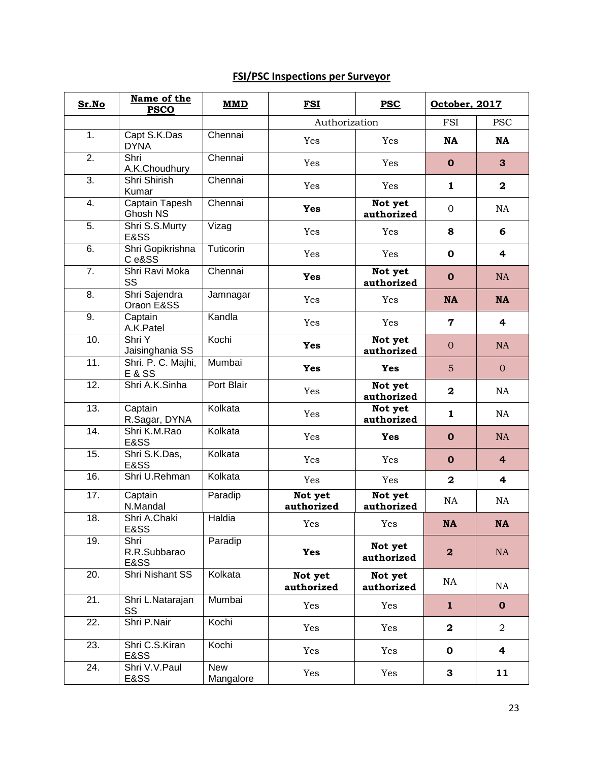# **FSI/PSC Inspections per Surveyor**

| Sr.No             | Name of the<br><b>PSCO</b>              | <b>MMD</b>              | <b>FSI</b>            | <b>PSC</b>            | October, 2017           |                |
|-------------------|-----------------------------------------|-------------------------|-----------------------|-----------------------|-------------------------|----------------|
|                   |                                         |                         | Authorization         |                       | <b>FSI</b>              | <b>PSC</b>     |
| 1.                | Capt S.K.Das<br><b>DYNA</b>             | Chennai                 | Yes                   | Yes                   | <b>NA</b>               | NA             |
| 2.                | Shri<br>A.K.Choudhury                   | Chennai                 | Yes                   | Yes                   | $\mathbf 0$             | 3              |
| 3.                | Shri Shirish<br>Kumar                   | Chennai                 | Yes                   | Yes                   | 1                       | $\mathbf 2$    |
| 4.                | Captain Tapesh<br>Ghosh NS              | Chennai                 | <b>Yes</b>            | Not yet<br>authorized | $\mathbf{0}$            | <b>NA</b>      |
| 5.                | Shri S.S.Murty<br>E&SS                  | Vizag                   | Yes                   | Yes                   | 8                       | 6              |
| 6.                | Shri Gopikrishna<br>Ce&SS               | Tuticorin               | Yes                   | Yes                   | $\mathbf 0$             | 4              |
| 7.                | Shri Ravi Moka<br>SS                    | Chennai                 | Yes                   | Not yet<br>authorized | $\mathbf 0$             | <b>NA</b>      |
| 8.                | Shri Sajendra<br>Oraon E&SS             | Jamnagar                | Yes                   | Yes                   | <b>NA</b>               | <b>NA</b>      |
| 9.                | Captain<br>A.K.Patel                    | Kandla                  | Yes                   | Yes                   | $\mathbf 7$             | 4              |
| 10.               | Shri Y<br>Jaisinghania SS               | Kochi                   | Yes                   | Not yet<br>authorized | $\mathbf{0}$            | NA             |
| 11.               | Shri. P. C. Majhi,<br><b>E &amp; SS</b> | Mumbai                  | Yes                   | <b>Yes</b>            | 5                       | $\overline{0}$ |
| 12.               | Shri A.K.Sinha                          | Port Blair              | Yes                   | Not yet<br>authorized | $\overline{\mathbf{2}}$ | NA             |
| $\overline{13}$ . | Captain<br>R.Sagar, DYNA                | Kolkata                 | Yes                   | Not yet<br>authorized | 1                       | NA             |
| 14.               | Shri K.M.Rao<br>E&SS                    | Kolkata                 | Yes                   | <b>Yes</b>            | $\mathbf 0$             | <b>NA</b>      |
| 15.               | Shri S.K.Das,<br>E&SS                   | Kolkata                 | Yes                   | Yes                   | $\mathbf 0$             | $\overline{4}$ |
| 16.               | Shri U.Rehman                           | Kolkata                 | Yes                   | Yes                   | $\overline{\mathbf{2}}$ | 4              |
| $\overline{17}$ . | Captain<br>N.Mandal                     | Paradip                 | Not yet<br>authorized | Not yet<br>authorized | <b>NA</b>               | <b>NA</b>      |
| 18.               | Shri A.Chaki<br>E&SS                    | Haldia                  | Yes                   | Yes                   | NA                      | <b>NA</b>      |
| 19.               | Shri<br>R.R.Subbarao<br>E&SS            | Paradip                 | <b>Yes</b>            | Not yet<br>authorized | $\overline{\mathbf{2}}$ | NA             |
| 20.               | <b>Shri Nishant SS</b>                  | Kolkata                 | Not yet<br>authorized | Not yet<br>authorized | NA                      | NA             |
| 21.               | Shri L.Natarajan<br>SS                  | Mumbai                  | Yes                   | Yes                   | $\mathbf{1}$            | $\mathbf 0$    |
| 22.               | Shri P.Nair                             | Kochi                   | Yes                   | Yes                   | $\mathbf 2$             | $\overline{a}$ |
| 23.               | Shri C.S.Kiran<br>E&SS                  | Kochi                   | Yes                   | Yes                   | $\mathbf 0$             | 4              |
| $\overline{24}$ . | Shri V.V.Paul<br>E&SS                   | <b>New</b><br>Mangalore | Yes                   | Yes                   | 3                       | 11             |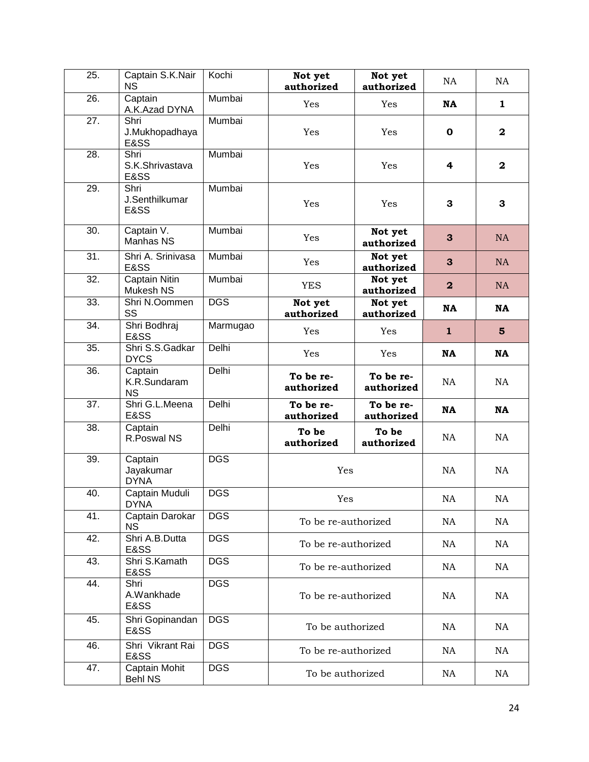| $\overline{25}$ . | Captain S.K.Nair<br><b>NS</b>        | Kochi      | Not yet<br>authorized   | Not yet<br>authorized   | NA                      | NA             |
|-------------------|--------------------------------------|------------|-------------------------|-------------------------|-------------------------|----------------|
| 26.               | Captain<br>A.K.Azad DYNA             | Mumbai     | Yes                     | Yes                     | <b>NA</b>               | $\mathbf{1}$   |
| 27.               | Shri<br>J.Mukhopadhaya<br>E&SS       | Mumbai     | Yes                     | Yes                     | 0                       | $\mathbf{2}$   |
| $\overline{28}$ . | Shri<br>S.K.Shrivastava<br>E&SS      | Mumbai     | Yes                     | Yes                     | 4                       | $\mathbf{2}$   |
| 29.               | Shri<br>J.Senthilkumar<br>E&SS       | Mumbai     | Yes                     | Yes                     | 3                       | 3              |
| 30.               | Captain V.<br>Manhas NS              | Mumbai     | Yes                     | Not yet<br>authorized   | 3                       | <b>NA</b>      |
| $\overline{31}$ . | Shri A. Srinivasa<br>E&SS            | Mumbai     | Yes                     | Not yet<br>authorized   | 3                       | <b>NA</b>      |
| 32.               | Captain Nitin<br>Mukesh NS           | Mumbai     | <b>YES</b>              | Not yet<br>authorized   | $\overline{\mathbf{2}}$ | <b>NA</b>      |
| 33.               | Shri N.Oommen<br><b>SS</b>           | <b>DGS</b> | Not yet<br>authorized   | Not yet<br>authorized   | <b>NA</b>               | <b>NA</b>      |
| 34.               | Shri Bodhraj<br>E&SS                 | Marmugao   | Yes                     | Yes                     | $\mathbf{1}$            | $5\phantom{1}$ |
| 35.               | Shri S.S.Gadkar<br><b>DYCS</b>       | Delhi      | Yes                     | Yes                     | <b>NA</b>               | <b>NA</b>      |
| 36.               | Captain<br>K.R.Sundaram<br><b>NS</b> | Delhi      | To be re-<br>authorized | To be re-<br>authorized | <b>NA</b>               | NA             |
| 37.               | Shri G.L.Meena<br>E&SS               | Delhi      | To be re-<br>authorized | To be re-<br>authorized | <b>NA</b>               | <b>NA</b>      |
| 38.               | Captain<br>R.Poswal NS               | Delhi      | To be<br>authorized     | To be<br>authorized     | NA                      | NA             |
| 39.               | Captain<br>Jayakumar<br><b>DYNA</b>  | <b>DGS</b> | Yes                     |                         | NA                      | NA             |
| 40.               | Captain Muduli<br><b>DYNA</b>        | <b>DGS</b> | Yes                     |                         | $\rm NA$                | NA             |
| 41.               | Captain Darokar<br><b>NS</b>         | <b>DGS</b> | To be re-authorized     |                         | NA                      | NA             |
| 42.               | Shri A.B.Dutta<br>E&SS               | <b>DGS</b> | To be re-authorized     |                         | <b>NA</b>               | NA             |
| 43.               | Shri S.Kamath<br>E&SS                | <b>DGS</b> | To be re-authorized     |                         | NA                      | NA             |
| 44.               | Shri<br>A.Wankhade<br>E&SS           | <b>DGS</b> | To be re-authorized     |                         | NA                      | NA             |
| 45.               | Shri Gopinandan<br>E&SS              | <b>DGS</b> | To be authorized        |                         | NA                      | NA             |
| 46.               | Shri Vikrant Rai<br>E&SS             | <b>DGS</b> | To be re-authorized     |                         | NA                      | NA             |
| 47.               | Captain Mohit<br><b>Behl NS</b>      | <b>DGS</b> | To be authorized        |                         | NA                      | NA             |